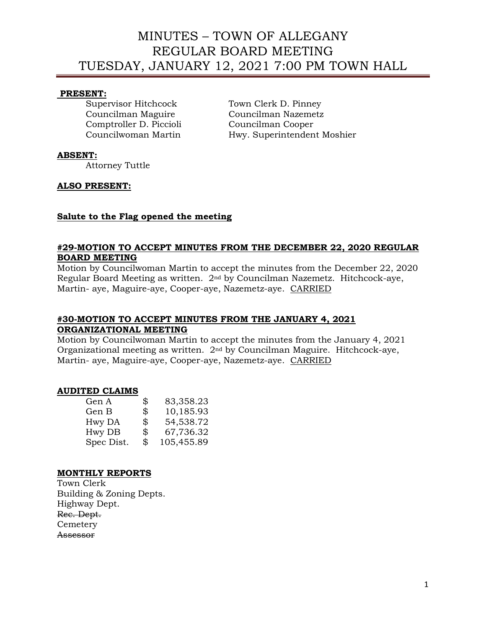# MINUTES – TOWN OF ALLEGANY REGULAR BOARD MEETING TUESDAY, JANUARY 12, 2021 7:00 PM TOWN HALL

## **PRESENT:**

Comptroller D. Piccioli Councilman Cooper

Supervisor Hitchcock Town Clerk D. Pinney Councilman Maguire Councilman Nazemetz Councilwoman Martin Hwy. Superintendent Moshier

## **ABSENT:**

Attorney Tuttle

## **ALSO PRESENT:**

## **Salute to the Flag opened the meeting**

## **#29-MOTION TO ACCEPT MINUTES FROM THE DECEMBER 22, 2020 REGULAR BOARD MEETING**

Motion by Councilwoman Martin to accept the minutes from the December 22, 2020 Regular Board Meeting as written. 2nd by Councilman Nazemetz. Hitchcock-aye, Martin- aye, Maguire-aye, Cooper-aye, Nazemetz-aye. CARRIED

## **#30-MOTION TO ACCEPT MINUTES FROM THE JANUARY 4, 2021 ORGANIZATIONAL MEETING**

Motion by Councilwoman Martin to accept the minutes from the January 4, 2021 Organizational meeting as written. 2nd by Councilman Maguire. Hitchcock-aye, Martin- aye, Maguire-aye, Cooper-aye, Nazemetz-aye. CARRIED

## **AUDITED CLAIMS**

| Gen A      | \$<br>83,358.23  |
|------------|------------------|
| Gen B      | \$<br>10,185.93  |
| Hwy DA     | \$<br>54,538.72  |
| Hwy DB     | \$<br>67,736.32  |
| Spec Dist. | \$<br>105,455.89 |
|            |                  |

## **MONTHLY REPORTS**

Town Clerk Building & Zoning Depts. Highway Dept. Rec. Dept. Cemetery Assessor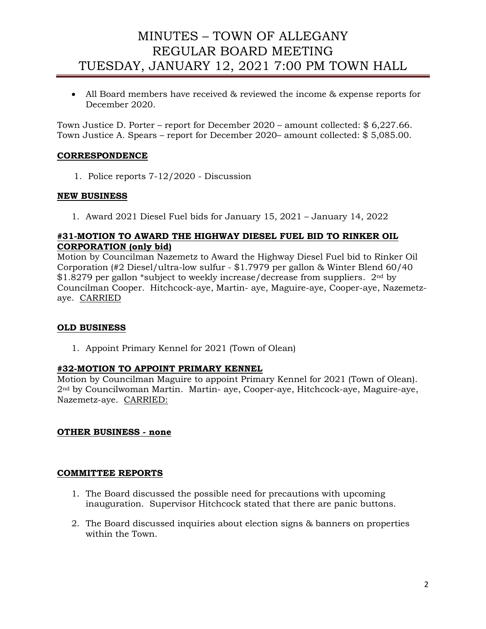# MINUTES – TOWN OF ALLEGANY REGULAR BOARD MEETING TUESDAY, JANUARY 12, 2021 7:00 PM TOWN HALL

• All Board members have received & reviewed the income & expense reports for December 2020.

Town Justice D. Porter – report for December 2020 – amount collected: \$ 6,227.66. Town Justice A. Spears – report for December 2020– amount collected: \$ 5,085.00.

# **CORRESPONDENCE**

1. Police reports 7-12/2020 - Discussion

## **NEW BUSINESS**

1. Award 2021 Diesel Fuel bids for January 15, 2021 – January 14, 2022

## **#31-MOTION TO AWARD THE HIGHWAY DIESEL FUEL BID TO RINKER OIL CORPORATION (only bid)**

Motion by Councilman Nazemetz to Award the Highway Diesel Fuel bid to Rinker Oil Corporation (#2 Diesel/ultra-low sulfur - \$1.7979 per gallon & Winter Blend 60/40 \$1.8279 per gallon \*subject to weekly increase/decrease from suppliers. 2<sup>nd</sup> by Councilman Cooper. Hitchcock-aye, Martin- aye, Maguire-aye, Cooper-aye, Nazemetzaye. CARRIED

## **OLD BUSINESS**

1. Appoint Primary Kennel for 2021 (Town of Olean)

## **#32-MOTION TO APPOINT PRIMARY KENNEL**

Motion by Councilman Maguire to appoint Primary Kennel for 2021 (Town of Olean). 2nd by Councilwoman Martin. Martin- aye, Cooper-aye, Hitchcock-aye, Maguire-aye, Nazemetz-aye. CARRIED:

## **OTHER BUSINESS - none**

## **COMMITTEE REPORTS**

- 1. The Board discussed the possible need for precautions with upcoming inauguration. Supervisor Hitchcock stated that there are panic buttons.
- 2. The Board discussed inquiries about election signs & banners on properties within the Town.